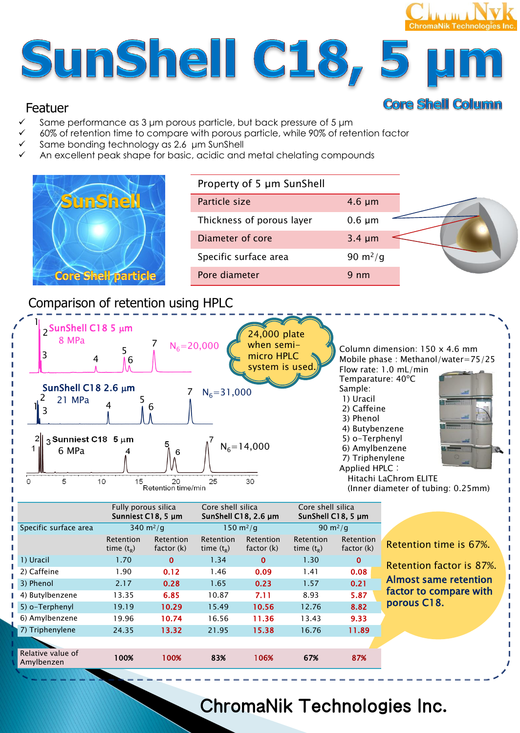# **ChromaNik Technologies In** SunShell C18, 5

# Featuer

- Same performance as 3 μm porous particle, but back pressure of 5 μm
- 60% of retention time to compare with porous particle, while 90% of retention factor
- Same bonding technology as 2.6 μm SunShell
- An excellent peak shape for basic, acidic and metal chelating compounds



| Property of 5 µm SunShell |             |  |
|---------------------------|-------------|--|
| Particle size             | $4.6 \mu m$ |  |
| Thickness of porous layer | $0.6 \mu m$ |  |
| Diameter of core          | $3.4 \mu m$ |  |
| Specific surface area     | 90 $m^2/q$  |  |
| Pore diameter             | 9 nm        |  |

**Core Shell Column** 

# Comparison of retention using HPLC



|                                 | Fully porous silica              | Sunniest C18, 5 um      | Core shell silica<br>SunShell C18, 2.6 µm |                         | Core shell silica<br>SunShell C18, 5 µm |                         |                              |
|---------------------------------|----------------------------------|-------------------------|-------------------------------------------|-------------------------|-----------------------------------------|-------------------------|------------------------------|
| Specific surface area           |                                  | 340 $m^2/q$             | 150 $m^2/q$                               |                         | 90 $m^2/q$                              |                         |                              |
|                                 | <b>Retention</b><br>time $(t_R)$ | Retention<br>factor (k) | Retention<br>time $(t_R)$                 | Retention<br>factor (k) | Retention<br>time $(t_R)$               | Retention<br>factor (k) | Retention time is 67%.       |
| 1) Uracil                       | 1.70                             | $\bf{0}$                | 1.34                                      | $\bf{0}$                | 1.30                                    | $\mathbf 0$             | Retention factor is 87%.     |
| 2) Caffeine                     | 1.90                             | 0.12                    | 1.46                                      | 0.09                    | 1.41                                    | 0.08                    |                              |
| 3) Phenol                       | 2.17                             | 0.28                    | 1.65                                      | 0.23                    | 1.57                                    | 0.21                    | <b>Almost same retention</b> |
| 4) Butylbenzene                 | 13.35                            | 6.85                    | 10.87                                     | 7.11                    | 8.93                                    | 5.87                    | factor to compare with       |
| 5) o-Terphenyl                  | 19.19                            | 10.29                   | 15.49                                     | 10.56                   | 12.76                                   | 8.82                    | porous C18.                  |
| 6) Amylbenzene                  | 19.96                            | 10.74                   | 16.56                                     | 11.36                   | 13.43                                   | 9.33                    |                              |
| 7) Triphenylene                 | 24.35                            | 13.32                   | 21.95                                     | 15.38                   | 16.76                                   | 11.89                   |                              |
|                                 |                                  |                         |                                           |                         |                                         |                         |                              |
| Relative value of<br>Amylbenzen | 100%                             | 100%                    | 83%                                       | 106%                    | 67%                                     | 87%                     |                              |

# ChromaNik Technologies Inc.